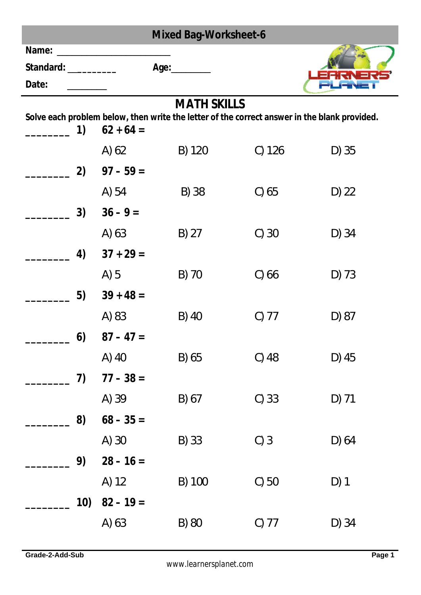| <b>Mixed Bag-Worksheet-6</b> |             |                                                                                                                    |          |         |
|------------------------------|-------------|--------------------------------------------------------------------------------------------------------------------|----------|---------|
| Name:                        |             |                                                                                                                    |          |         |
| Standard: __________         |             | Age:_________                                                                                                      |          |         |
| Date:                        |             |                                                                                                                    |          |         |
|                              |             | <b>MATH SKILLS</b><br>Solve each problem below, then write the letter of the correct answer in the blank provided. |          |         |
| 1)                           | $62 + 64 =$ |                                                                                                                    |          |         |
|                              | A) 62       | B) 120                                                                                                             | $C)$ 126 | $D)$ 35 |
| 2)                           | $97 - 59 =$ |                                                                                                                    |          |         |
|                              | A) 54       | B) 38                                                                                                              | $C)$ 65  | $D)$ 22 |
| 3)                           | $36 - 9 =$  |                                                                                                                    |          |         |
|                              | A) 63       | $B)$ 27                                                                                                            | $C)$ 30  | $D)$ 34 |
| 4)                           | $37 + 29 =$ |                                                                                                                    |          |         |
|                              | $A)$ 5      | B) 70                                                                                                              | $C)$ 66  | $D)$ 73 |
| 5)                           | $39 + 48 =$ |                                                                                                                    |          |         |
|                              | A) 83       | B) 40                                                                                                              | $C)$ 77  | D) 87   |
| 6)                           | $87 - 47 =$ |                                                                                                                    |          |         |
|                              | A) 40       | B) 65                                                                                                              | $C)$ 48  | D) 45   |
| 7)                           | $77 - 38 =$ |                                                                                                                    |          |         |
|                              | A) 39       | B) 67                                                                                                              | $C)$ 33  | $D)$ 71 |
| 8)                           | $68 - 35 =$ |                                                                                                                    |          |         |
|                              | A) 30       | B) 33                                                                                                              | C)3      | D) 64   |
| 9)                           | $28 - 16 =$ |                                                                                                                    |          |         |
|                              | A) 12       | B) 100                                                                                                             | $C)$ 50  | $D)$ 1  |
| 10)                          | $82 - 19 =$ |                                                                                                                    |          |         |
|                              | A) 63       | B) 80                                                                                                              | $C)$ 77  | $D)$ 34 |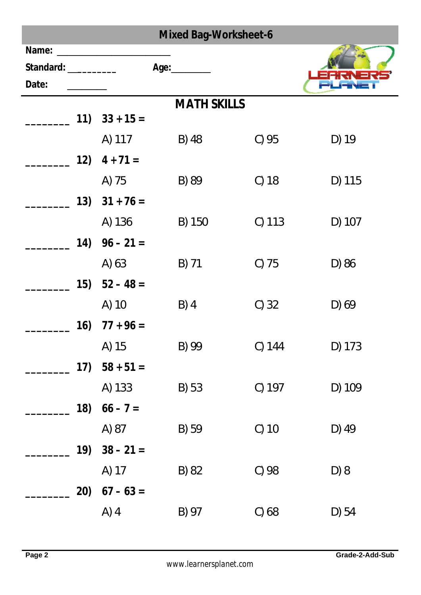| <b>Mixed Bag-Worksheet-6</b>            |                                                                                                                       |                    |          |         |
|-----------------------------------------|-----------------------------------------------------------------------------------------------------------------------|--------------------|----------|---------|
| Name:<br>Standard: ___________<br>Date: | <u> 1989 - Johann Harry Harry Harry Harry Harry Harry Harry Harry Harry Harry Harry Harry Harry Harry Harry Harry</u> | Age:_________      |          |         |
|                                         |                                                                                                                       | <b>MATH SKILLS</b> |          |         |
|                                         | $11)$ $33 + 15 =$                                                                                                     |                    |          |         |
|                                         | A) 117                                                                                                                | B) 48              | $C)$ 95  | $D)$ 19 |
| 12)                                     | $4 + 71 =$                                                                                                            |                    |          |         |
|                                         | A) 75                                                                                                                 | B) 89              | $C)$ 18  | D) 115  |
|                                         | $13)$ $31 + 76 =$                                                                                                     |                    |          |         |
|                                         | A) 136                                                                                                                | B) 150             | $C)$ 113 | D) 107  |
| 14)                                     | $96 - 21 =$                                                                                                           |                    |          |         |
|                                         | A) 63                                                                                                                 | B) 71              | $C)$ 75  | D) 86   |
| 15)                                     | $52 - 48 =$                                                                                                           |                    |          |         |
|                                         | A) 10                                                                                                                 | $B)$ 4             | $C)$ 32  | $D)$ 69 |
| 16)                                     | $77 + 96 =$                                                                                                           |                    |          |         |
|                                         | A) 15                                                                                                                 | B) 99              | C) 144   | D) 173  |
| (17)                                    | $58 + 51 =$                                                                                                           |                    |          |         |
|                                         | A) 133                                                                                                                | B) 53              | C) 197   | D) 109  |
| 18)                                     | $66 - 7 =$                                                                                                            |                    |          |         |
|                                         | A) 87                                                                                                                 | B) 59              | $C)$ 10  | D) 49   |
| 19)                                     | $38 - 21 =$                                                                                                           |                    |          |         |
|                                         | A) 17                                                                                                                 | B) 82              | C) 98    | D) 8    |
| 20)                                     | $67 - 63 =$                                                                                                           |                    |          |         |
|                                         | $A)$ 4                                                                                                                | B) 97              | $C)$ 68  | $D)$ 54 |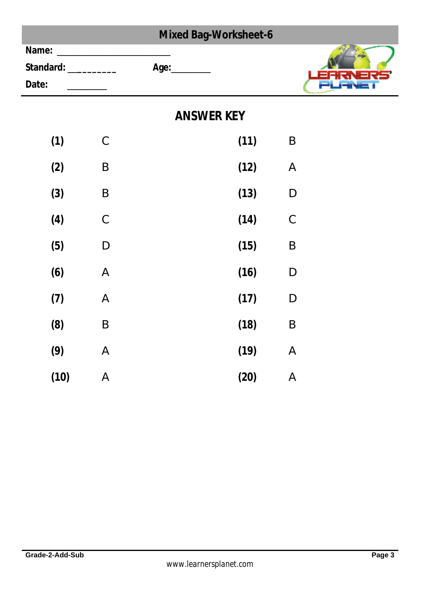|       |                    |               | <b>Mixed Bag-Worksheet-6</b> |      |              |
|-------|--------------------|---------------|------------------------------|------|--------------|
| Name: | Standard: ________ |               | Age:__________               |      |              |
| Date: |                    |               |                              |      |              |
|       |                    |               | <b>ANSWER KEY</b>            |      |              |
|       | (1)                | $\mathsf C$   |                              | (11) | $\sf B$      |
|       | (2)                | $\sf B$       |                              | (12) | $\mathsf{A}$ |
|       | (3)                | $\sf B$       |                              | (13) | $\mathsf{D}$ |
|       | (4)                | $\mathcal{C}$ |                              | (14) | $\mathsf C$  |
|       | (5)                | $\mathsf D$   |                              | (15) | $\sf B$      |
|       | (6)                | $\mathsf{A}$  |                              | (16) | $\mathsf D$  |
|       | (7)                | $\mathsf{A}$  |                              | (17) | D            |
|       | (8)                | $\sf B$       |                              | (18) | $\sf B$      |
|       | (9)                | $\mathsf{A}$  |                              | (19) | $\mathsf A$  |
|       | (10)               | $\mathsf{A}$  |                              | (20) | $\mathsf A$  |